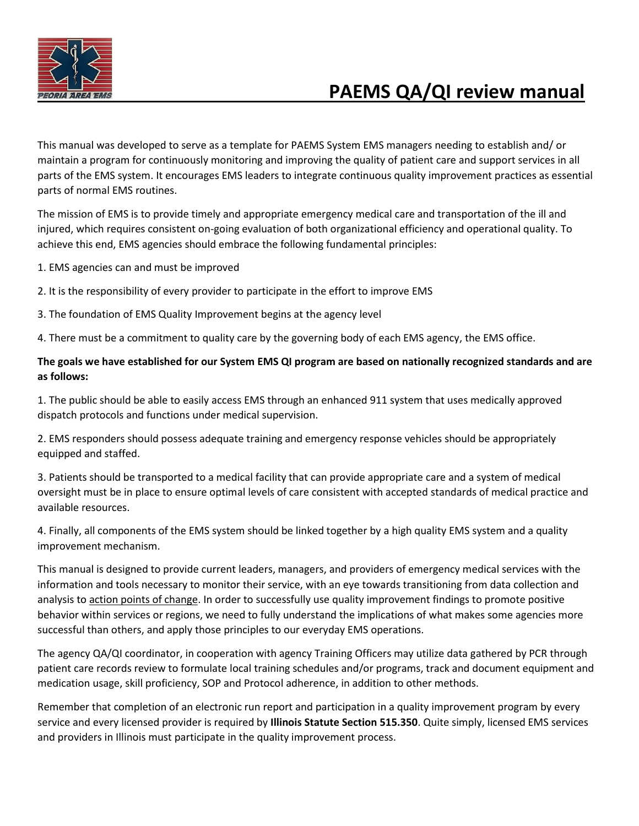

# **PAEMS QA/QI review manual**

This manual was developed to serve as a template for PAEMS System EMS managers needing to establish and/ or maintain a program for continuously monitoring and improving the quality of patient care and support services in all parts of the EMS system. It encourages EMS leaders to integrate continuous quality improvement practices as essential parts of normal EMS routines.

The mission of EMS is to provide timely and appropriate emergency medical care and transportation of the ill and injured, which requires consistent on-going evaluation of both organizational efficiency and operational quality. To achieve this end, EMS agencies should embrace the following fundamental principles:

1. EMS agencies can and must be improved

2. It is the responsibility of every provider to participate in the effort to improve EMS

3. The foundation of EMS Quality Improvement begins at the agency level

4. There must be a commitment to quality care by the governing body of each EMS agency, the EMS office.

#### **The goals we have established for our System EMS QI program are based on nationally recognized standards and are as follows:**

1. The public should be able to easily access EMS through an enhanced 911 system that uses medically approved dispatch protocols and functions under medical supervision.

2. EMS responders should possess adequate training and emergency response vehicles should be appropriately equipped and staffed.

3. Patients should be transported to a medical facility that can provide appropriate care and a system of medical oversight must be in place to ensure optimal levels of care consistent with accepted standards of medical practice and available resources.

4. Finally, all components of the EMS system should be linked together by a high quality EMS system and a quality improvement mechanism.

This manual is designed to provide current leaders, managers, and providers of emergency medical services with the information and tools necessary to monitor their service, with an eye towards transitioning from data collection and analysis to action points of change. In order to successfully use quality improvement findings to promote positive behavior within services or regions, we need to fully understand the implications of what makes some agencies more successful than others, and apply those principles to our everyday EMS operations.

The agency QA/QI coordinator, in cooperation with agency Training Officers may utilize data gathered by PCR through patient care records review to formulate local training schedules and/or programs, track and document equipment and medication usage, skill proficiency, SOP and Protocol adherence, in addition to other methods.

Remember that completion of an electronic run report and participation in a quality improvement program by every service and every licensed provider is required by **Illinois Statute Section 515.350**. Quite simply, licensed EMS services and providers in Illinois must participate in the quality improvement process.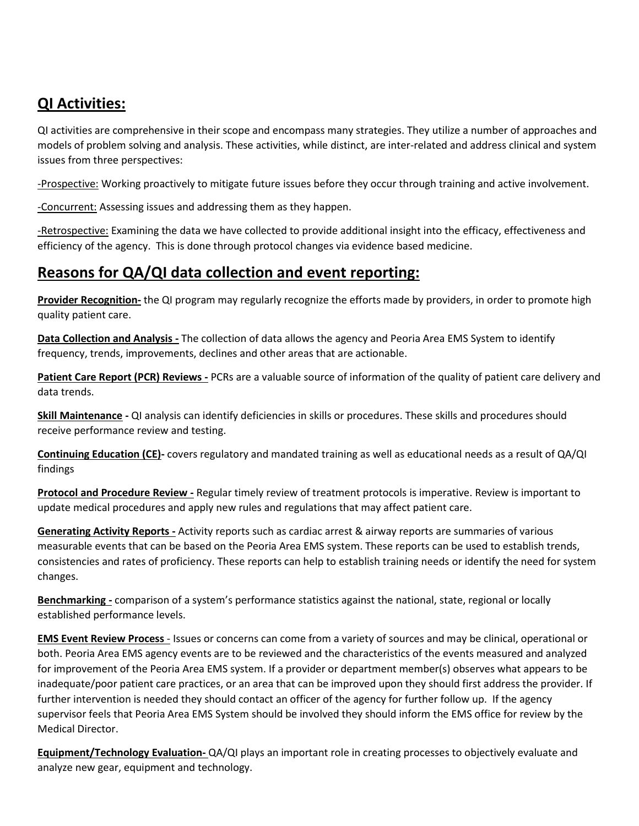### **QI Activities:**

QI activities are comprehensive in their scope and encompass many strategies. They utilize a number of approaches and models of problem solving and analysis. These activities, while distinct, are inter-related and address clinical and system issues from three perspectives:

-Prospective: Working proactively to mitigate future issues before they occur through training and active involvement.

-Concurrent: Assessing issues and addressing them as they happen.

-Retrospective: Examining the data we have collected to provide additional insight into the efficacy, effectiveness and efficiency of the agency. This is done through protocol changes via evidence based medicine.

### **Reasons for QA/QI data collection and event reporting:**

**Provider Recognition-** the QI program may regularly recognize the efforts made by providers, in order to promote high quality patient care.

**Data Collection and Analysis -** The collection of data allows the agency and Peoria Area EMS System to identify frequency, trends, improvements, declines and other areas that are actionable.

**Patient Care Report (PCR) Reviews -** PCRs are a valuable source of information of the quality of patient care delivery and data trends.

**Skill Maintenance -** QI analysis can identify deficiencies in skills or procedures. These skills and procedures should receive performance review and testing.

**Continuing Education (CE)-** covers regulatory and mandated training as well as educational needs as a result of QA/QI findings

**Protocol and Procedure Review -** Regular timely review of treatment protocols is imperative. Review is important to update medical procedures and apply new rules and regulations that may affect patient care.

**Generating Activity Reports -** Activity reports such as cardiac arrest & airway reports are summaries of various measurable events that can be based on the Peoria Area EMS system. These reports can be used to establish trends, consistencies and rates of proficiency. These reports can help to establish training needs or identify the need for system changes.

**Benchmarking -** comparison of a system's performance statistics against the national, state, regional or locally established performance levels.

**EMS Event Review Process** - Issues or concerns can come from a variety of sources and may be clinical, operational or both. Peoria Area EMS agency events are to be reviewed and the characteristics of the events measured and analyzed for improvement of the Peoria Area EMS system. If a provider or department member(s) observes what appears to be inadequate/poor patient care practices, or an area that can be improved upon they should first address the provider. If further intervention is needed they should contact an officer of the agency for further follow up. If the agency supervisor feels that Peoria Area EMS System should be involved they should inform the EMS office for review by the Medical Director.

**Equipment/Technology Evaluation-** QA/QI plays an important role in creating processes to objectively evaluate and analyze new gear, equipment and technology.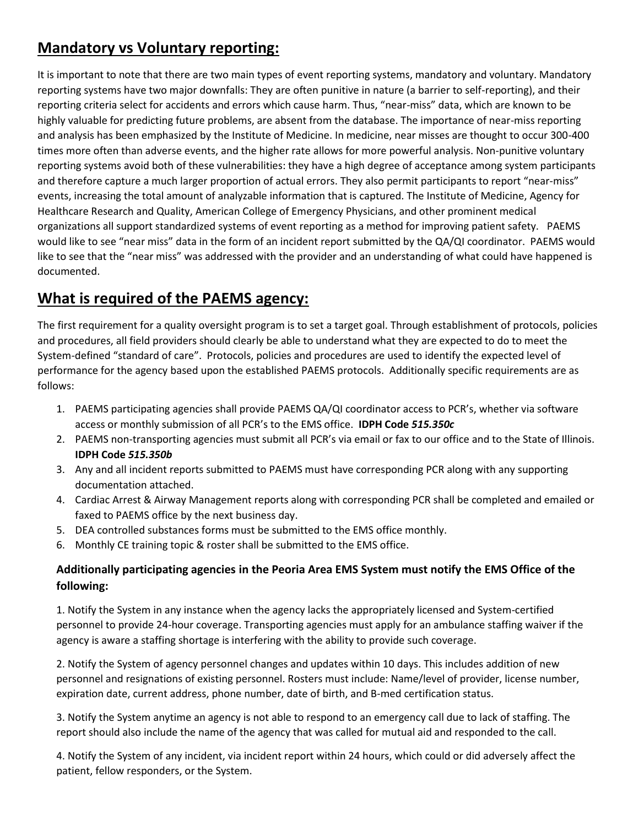## **Mandatory vs Voluntary reporting:**

It is important to note that there are two main types of event reporting systems, mandatory and voluntary. Mandatory reporting systems have two major downfalls: They are often punitive in nature (a barrier to self-reporting), and their reporting criteria select for accidents and errors which cause harm. Thus, "near-miss" data, which are known to be highly valuable for predicting future problems, are absent from the database. The importance of near-miss reporting and analysis has been emphasized by the Institute of Medicine. In medicine, near misses are thought to occur 300-400 times more often than adverse events, and the higher rate allows for more powerful analysis. Non-punitive voluntary reporting systems avoid both of these vulnerabilities: they have a high degree of acceptance among system participants and therefore capture a much larger proportion of actual errors. They also permit participants to report "near-miss" events, increasing the total amount of analyzable information that is captured. The Institute of Medicine, Agency for Healthcare Research and Quality, American College of Emergency Physicians, and other prominent medical organizations all support standardized systems of event reporting as a method for improving patient safety. PAEMS would like to see "near miss" data in the form of an incident report submitted by the QA/QI coordinator. PAEMS would like to see that the "near miss" was addressed with the provider and an understanding of what could have happened is documented.

### **What is required of the PAEMS agency:**

The first requirement for a quality oversight program is to set a target goal. Through establishment of protocols, policies and procedures, all field providers should clearly be able to understand what they are expected to do to meet the System-defined "standard of care". Protocols, policies and procedures are used to identify the expected level of performance for the agency based upon the established PAEMS protocols. Additionally specific requirements are as follows:

- 1. PAEMS participating agencies shall provide PAEMS QA/QI coordinator access to PCR's, whether via software access or monthly submission of all PCR's to the EMS office. **IDPH Code** *515.350c*
- 2. PAEMS non-transporting agencies must submit all PCR's via email or fax to our office and to the State of Illinois. **IDPH Code** *515.350b*
- 3. Any and all incident reports submitted to PAEMS must have corresponding PCR along with any supporting documentation attached.
- 4. Cardiac Arrest & Airway Management reports along with corresponding PCR shall be completed and emailed or faxed to PAEMS office by the next business day.
- 5. DEA controlled substances forms must be submitted to the EMS office monthly.
- 6. Monthly CE training topic & roster shall be submitted to the EMS office.

#### **Additionally participating agencies in the Peoria Area EMS System must notify the EMS Office of the following:**

1. Notify the System in any instance when the agency lacks the appropriately licensed and System-certified personnel to provide 24-hour coverage. Transporting agencies must apply for an ambulance staffing waiver if the agency is aware a staffing shortage is interfering with the ability to provide such coverage.

2. Notify the System of agency personnel changes and updates within 10 days. This includes addition of new personnel and resignations of existing personnel. Rosters must include: Name/level of provider, license number, expiration date, current address, phone number, date of birth, and B-med certification status.

3. Notify the System anytime an agency is not able to respond to an emergency call due to lack of staffing. The report should also include the name of the agency that was called for mutual aid and responded to the call.

4. Notify the System of any incident, via incident report within 24 hours, which could or did adversely affect the patient, fellow responders, or the System.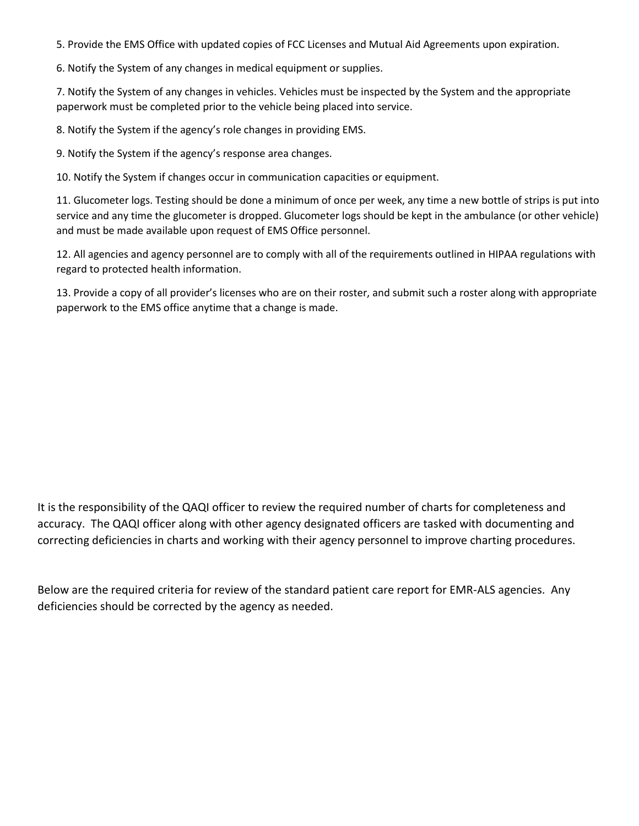5. Provide the EMS Office with updated copies of FCC Licenses and Mutual Aid Agreements upon expiration.

6. Notify the System of any changes in medical equipment or supplies.

7. Notify the System of any changes in vehicles. Vehicles must be inspected by the System and the appropriate paperwork must be completed prior to the vehicle being placed into service.

8. Notify the System if the agency's role changes in providing EMS.

9. Notify the System if the agency's response area changes.

10. Notify the System if changes occur in communication capacities or equipment.

11. Glucometer logs. Testing should be done a minimum of once per week, any time a new bottle of strips is put into service and any time the glucometer is dropped. Glucometer logs should be kept in the ambulance (or other vehicle) and must be made available upon request of EMS Office personnel.

12. All agencies and agency personnel are to comply with all of the requirements outlined in HIPAA regulations with regard to protected health information.

13. Provide a copy of all provider's licenses who are on their roster, and submit such a roster along with appropriate paperwork to the EMS office anytime that a change is made.

It is the responsibility of the QAQI officer to review the required number of charts for completeness and accuracy. The QAQI officer along with other agency designated officers are tasked with documenting and correcting deficiencies in charts and working with their agency personnel to improve charting procedures.

Below are the required criteria for review of the standard patient care report for EMR-ALS agencies. Any deficiencies should be corrected by the agency as needed.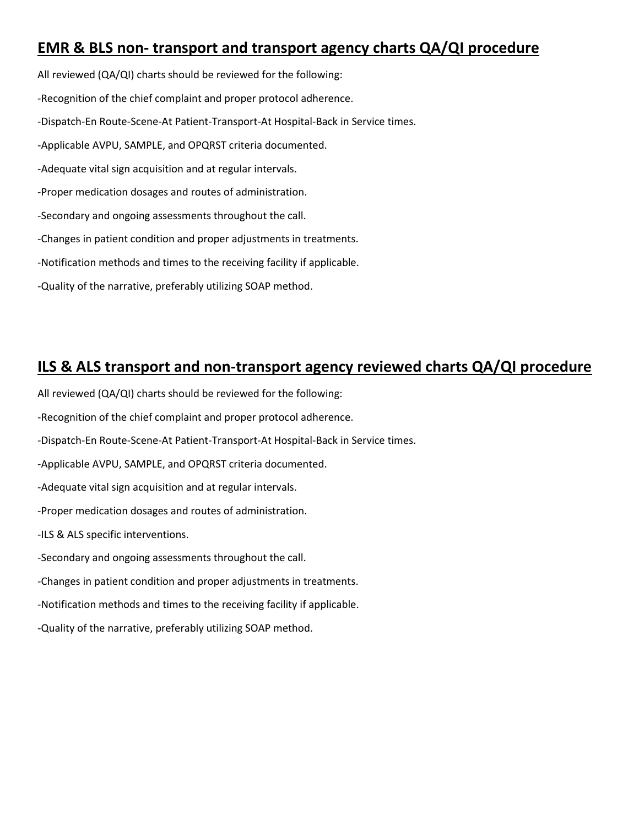### **EMR & BLS non- transport and transport agency charts QA/QI procedure**

All reviewed (QA/QI) charts should be reviewed for the following: -Recognition of the chief complaint and proper protocol adherence. -Dispatch-En Route-Scene-At Patient-Transport-At Hospital-Back in Service times. -Applicable AVPU, SAMPLE, and OPQRST criteria documented. -Adequate vital sign acquisition and at regular intervals. -Proper medication dosages and routes of administration. -Secondary and ongoing assessments throughout the call. -Changes in patient condition and proper adjustments in treatments. -Notification methods and times to the receiving facility if applicable. -Quality of the narrative, preferably utilizing SOAP method.

#### **ILS & ALS transport and non-transport agency reviewed charts QA/QI procedure**

All reviewed (QA/QI) charts should be reviewed for the following:

-Recognition of the chief complaint and proper protocol adherence.

-Dispatch-En Route-Scene-At Patient-Transport-At Hospital-Back in Service times.

-Applicable AVPU, SAMPLE, and OPQRST criteria documented.

-Adequate vital sign acquisition and at regular intervals.

-Proper medication dosages and routes of administration.

-ILS & ALS specific interventions.

-Secondary and ongoing assessments throughout the call.

-Changes in patient condition and proper adjustments in treatments.

-Notification methods and times to the receiving facility if applicable.

-Quality of the narrative, preferably utilizing SOAP method.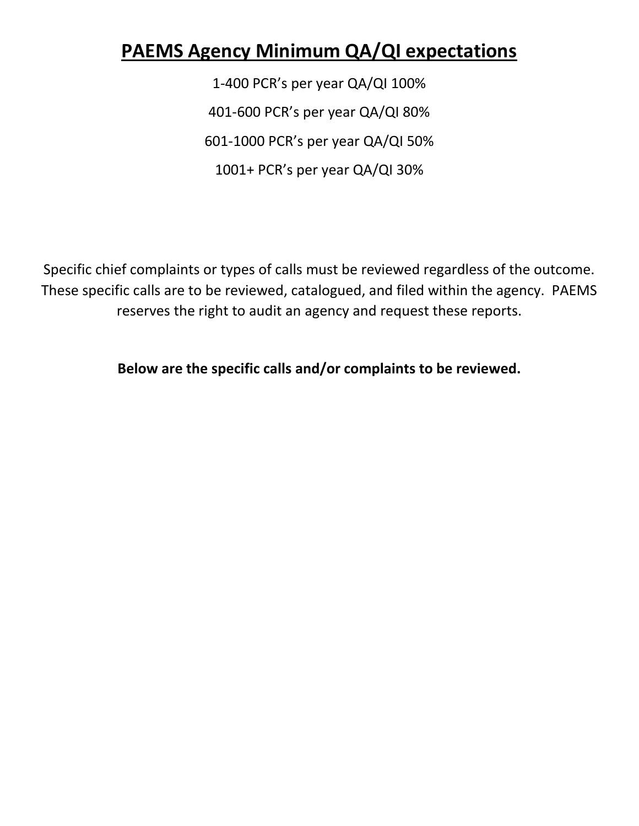## **PAEMS Agency Minimum QA/QI expectations**

1-400 PCR's per year QA/QI 100% 401-600 PCR's per year QA/QI 80% 601-1000 PCR's per year QA/QI 50% 1001+ PCR's per year QA/QI 30%

Specific chief complaints or types of calls must be reviewed regardless of the outcome. These specific calls are to be reviewed, catalogued, and filed within the agency. PAEMS reserves the right to audit an agency and request these reports.

**Below are the specific calls and/or complaints to be reviewed.**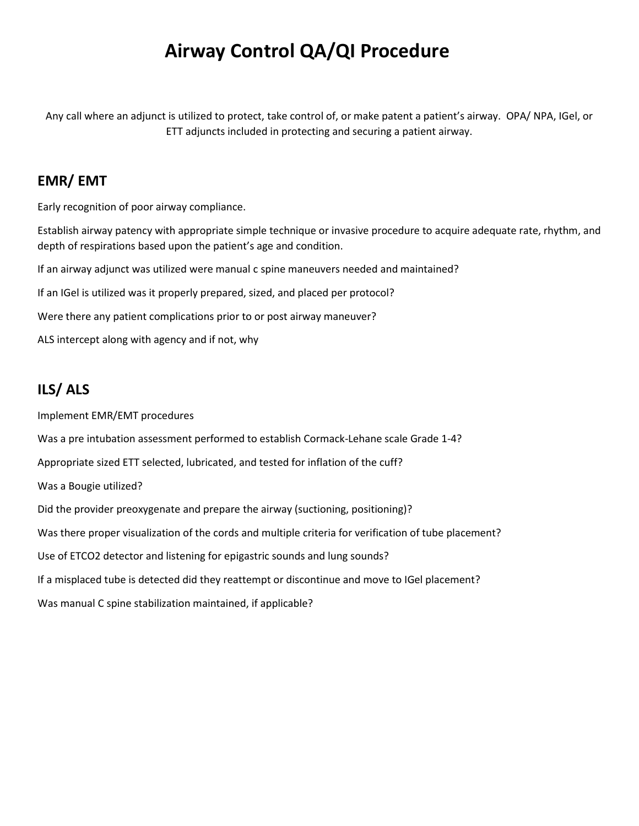## **Airway Control QA/QI Procedure**

Any call where an adjunct is utilized to protect, take control of, or make patent a patient's airway. OPA/ NPA, IGel, or ETT adjuncts included in protecting and securing a patient airway.

#### **EMR/ EMT**

Early recognition of poor airway compliance.

Establish airway patency with appropriate simple technique or invasive procedure to acquire adequate rate, rhythm, and depth of respirations based upon the patient's age and condition.

If an airway adjunct was utilized were manual c spine maneuvers needed and maintained?

If an IGel is utilized was it properly prepared, sized, and placed per protocol?

Were there any patient complications prior to or post airway maneuver?

ALS intercept along with agency and if not, why

### **ILS/ ALS**

Implement EMR/EMT procedures

Was a pre intubation assessment performed to establish Cormack-Lehane scale Grade 1-4?

Appropriate sized ETT selected, lubricated, and tested for inflation of the cuff?

Was a Bougie utilized?

Did the provider preoxygenate and prepare the airway (suctioning, positioning)?

Was there proper visualization of the cords and multiple criteria for verification of tube placement?

Use of ETCO2 detector and listening for epigastric sounds and lung sounds?

If a misplaced tube is detected did they reattempt or discontinue and move to IGel placement?

Was manual C spine stabilization maintained, if applicable?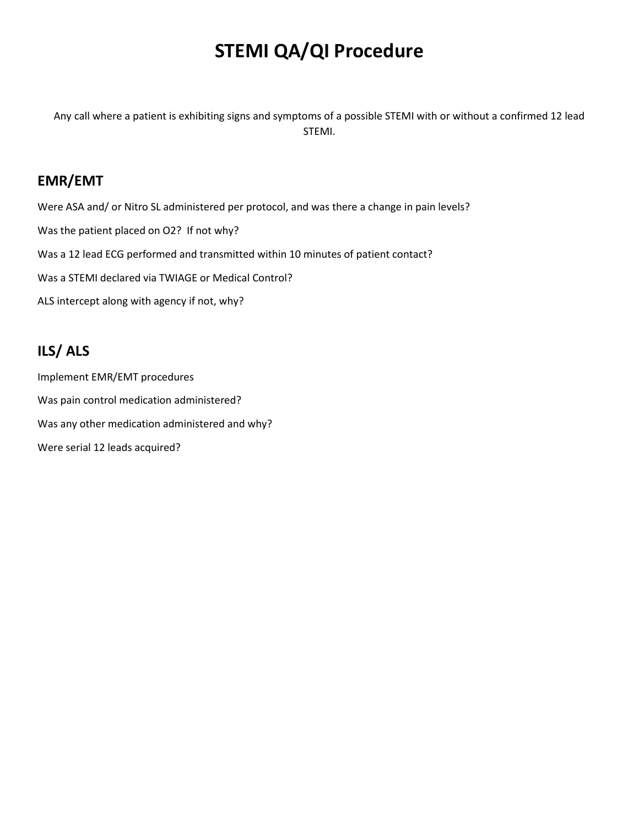## **STEMI QA/QI Procedure**

Any call where a patient is exhibiting signs and symptoms of a possible STEMI with or without a confirmed 12 lead STEMI.

#### **EMR/EMT**

Were ASA and/ or Nitro SL administered per protocol, and was there a change in pain levels? Was the patient placed on O2? If not why? Was a 12 lead ECG performed and transmitted within 10 minutes of patient contact? Was a STEMI declared via TWIAGE or Medical Control? ALS intercept along with agency if not, why?

### **ILS/ ALS**

Implement EMR/EMT procedures Was pain control medication administered? Was any other medication administered and why? Were serial 12 leads acquired?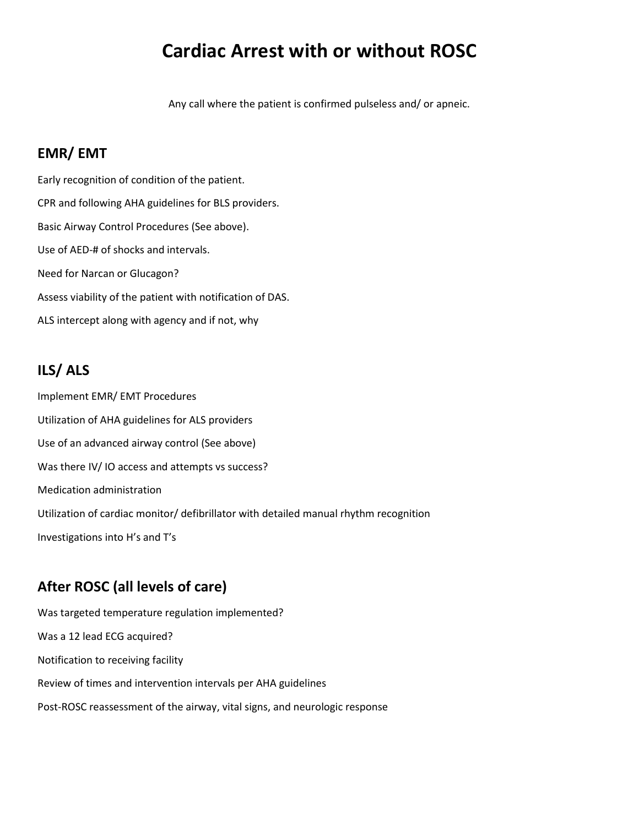## **Cardiac Arrest with or without ROSC**

Any call where the patient is confirmed pulseless and/ or apneic.

#### **EMR/ EMT**

Early recognition of condition of the patient. CPR and following AHA guidelines for BLS providers. Basic Airway Control Procedures (See above). Use of AED-# of shocks and intervals. Need for Narcan or Glucagon? Assess viability of the patient with notification of DAS. ALS intercept along with agency and if not, why

#### **ILS/ ALS**

Implement EMR/ EMT Procedures Utilization of AHA guidelines for ALS providers Use of an advanced airway control (See above) Was there IV/IO access and attempts vs success? Medication administration Utilization of cardiac monitor/ defibrillator with detailed manual rhythm recognition Investigations into H's and T's

#### **After ROSC (all levels of care)**

Was targeted temperature regulation implemented? Was a 12 lead ECG acquired? Notification to receiving facility Review of times and intervention intervals per AHA guidelines Post-ROSC reassessment of the airway, vital signs, and neurologic response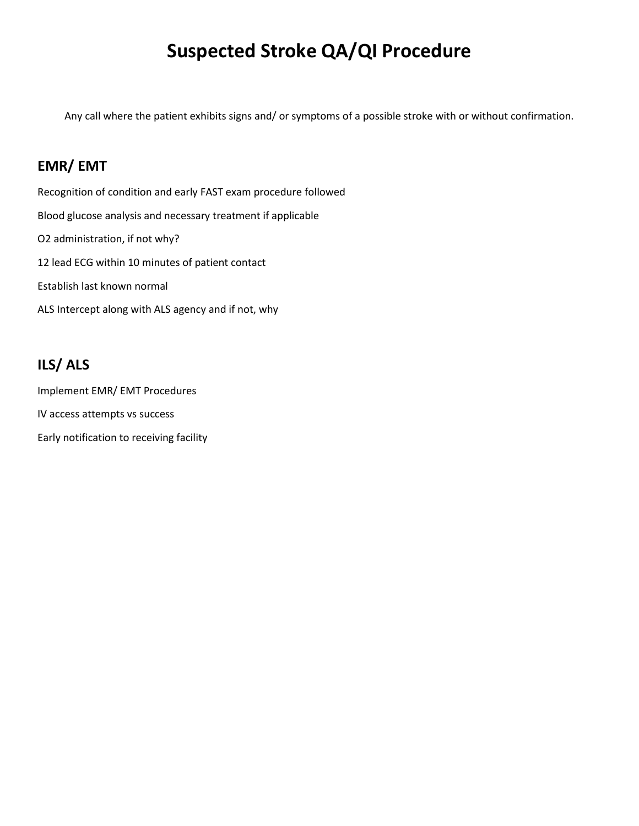## **Suspected Stroke QA/QI Procedure**

Any call where the patient exhibits signs and/ or symptoms of a possible stroke with or without confirmation.

#### **EMR/ EMT**

Recognition of condition and early FAST exam procedure followed Blood glucose analysis and necessary treatment if applicable O2 administration, if not why? 12 lead ECG within 10 minutes of patient contact Establish last known normal ALS Intercept along with ALS agency and if not, why

## **ILS/ ALS**

Implement EMR/ EMT Procedures IV access attempts vs success Early notification to receiving facility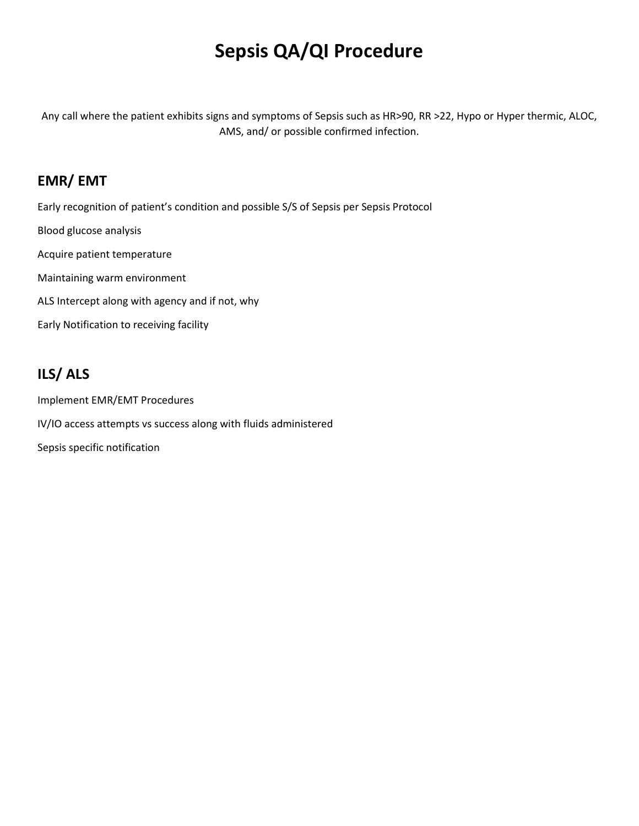## **Sepsis QA/QI Procedure**

Any call where the patient exhibits signs and symptoms of Sepsis such as HR>90, RR >22, Hypo or Hyper thermic, ALOC, AMS, and/ or possible confirmed infection.

### **EMR/ EMT**

Early recognition of patient's condition and possible S/S of Sepsis per Sepsis Protocol Blood glucose analysis Acquire patient temperature Maintaining warm environment ALS Intercept along with agency and if not, why Early Notification to receiving facility

## **ILS/ ALS**

Implement EMR/EMT Procedures IV/IO access attempts vs success along with fluids administered Sepsis specific notification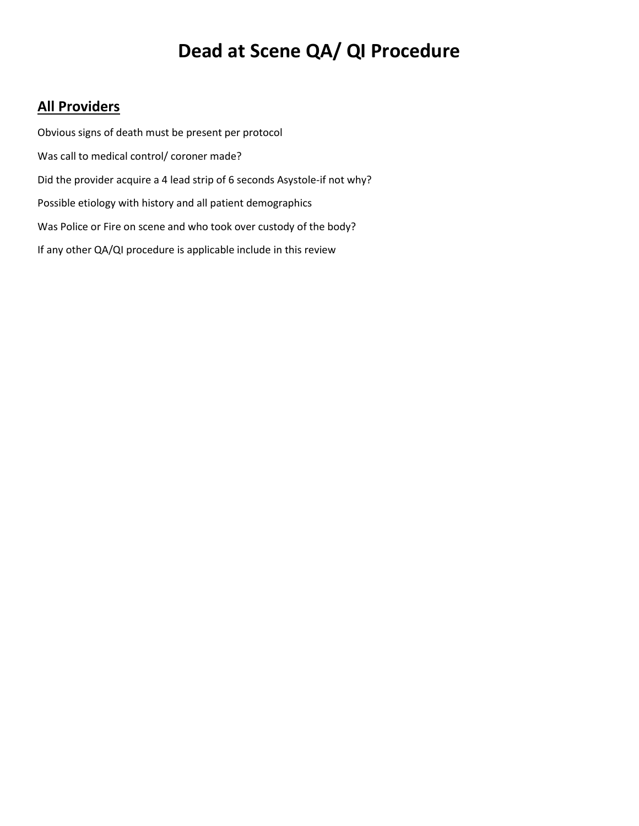## **Dead at Scene QA/ QI Procedure**

### **All Providers**

Obvious signs of death must be present per protocol Was call to medical control/ coroner made? Did the provider acquire a 4 lead strip of 6 seconds Asystole-if not why? Possible etiology with history and all patient demographics Was Police or Fire on scene and who took over custody of the body? If any other QA/QI procedure is applicable include in this review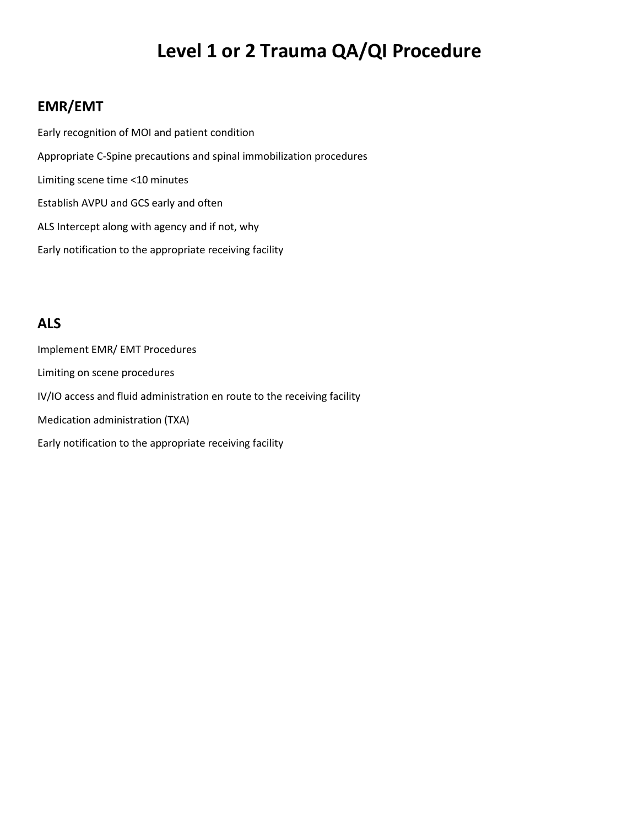## **Level 1 or 2 Trauma QA/QI Procedure**

### **EMR/EMT**

Early recognition of MOI and patient condition Appropriate C-Spine precautions and spinal immobilization procedures Limiting scene time <10 minutes Establish AVPU and GCS early and often ALS Intercept along with agency and if not, why Early notification to the appropriate receiving facility

#### **ALS**

Implement EMR/ EMT Procedures Limiting on scene procedures IV/IO access and fluid administration en route to the receiving facility Medication administration (TXA) Early notification to the appropriate receiving facility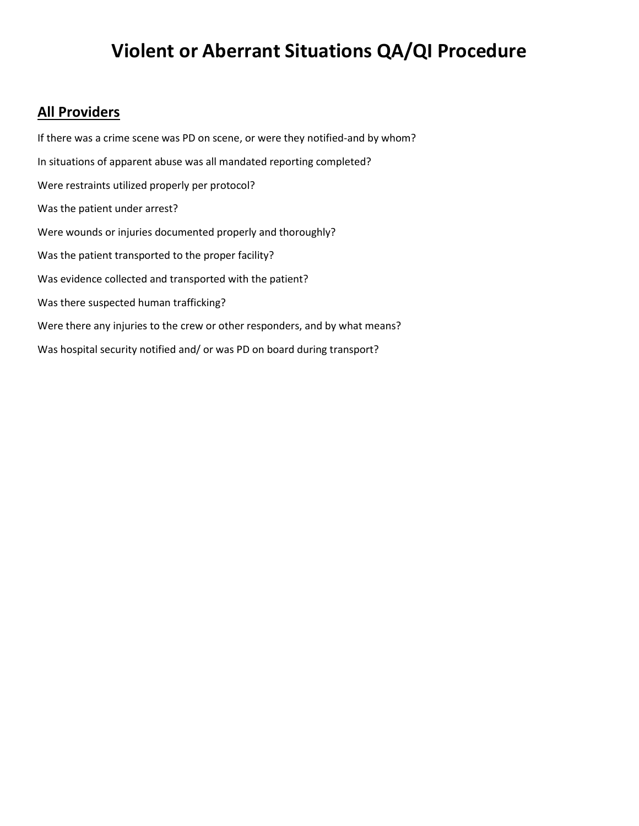## **Violent or Aberrant Situations QA/QI Procedure**

#### **All Providers**

If there was a crime scene was PD on scene, or were they notified-and by whom? In situations of apparent abuse was all mandated reporting completed? Were restraints utilized properly per protocol? Was the patient under arrest? Were wounds or injuries documented properly and thoroughly? Was the patient transported to the proper facility? Was evidence collected and transported with the patient? Was there suspected human trafficking? Were there any injuries to the crew or other responders, and by what means? Was hospital security notified and/ or was PD on board during transport?